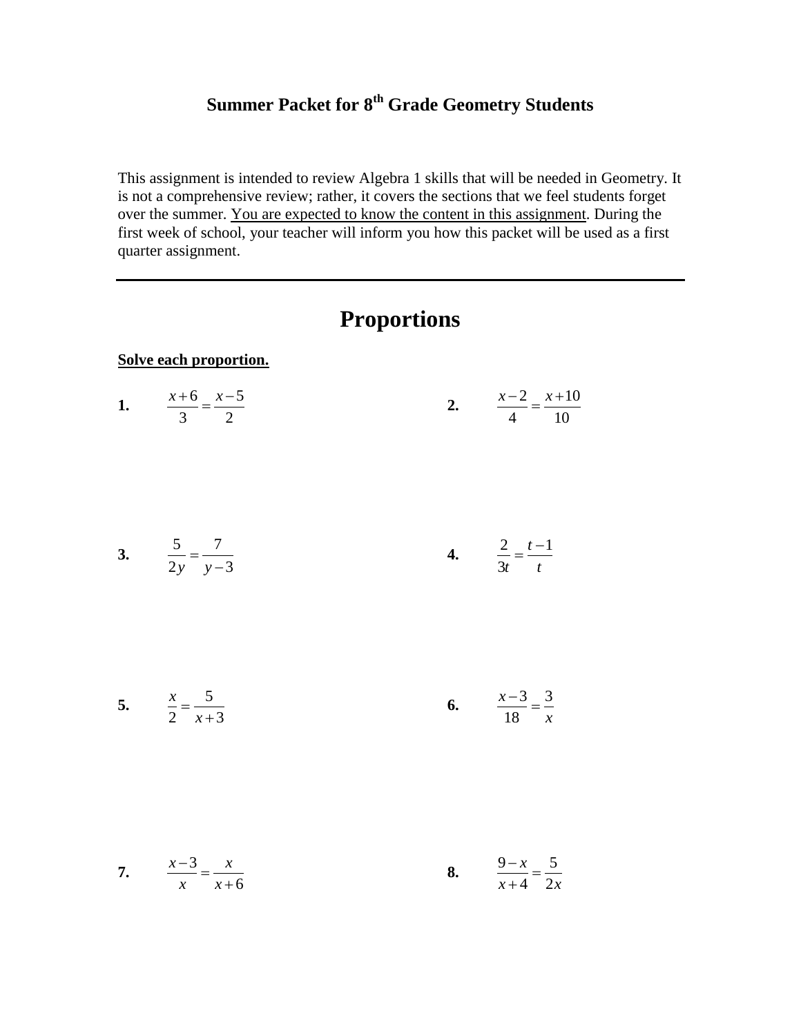### **Summer Packet for 8 th Grade Geometry Students**

This assignment is intended to review Algebra 1 skills that will be needed in Geometry. It is not a comprehensive review; rather, it covers the sections that we feel students forget over the summer. You are expected to know the content in this assignment. During the first week of school, your teacher will inform you how this packet will be used as a first quarter assignment.

|                                    | <b>Proportions</b> |                                      |
|------------------------------------|--------------------|--------------------------------------|
| Solve each proportion.             |                    |                                      |
| 1. $\frac{x+6}{3} = \frac{x-5}{2}$ |                    | 2. $\frac{x-2}{4} = \frac{x+10}{10}$ |
| 3. $rac{5}{2y} = \frac{7}{y-3}$    |                    | 4. $\frac{2}{3t} = \frac{t-1}{t}$    |
| 5. $\frac{x}{2} = \frac{5}{x+3}$   |                    | 6. $\frac{x-3}{18} = \frac{3}{x}$    |
| 7. $\frac{x-3}{x} = \frac{x}{x+6}$ |                    | 8. $\frac{9-x}{x+4} = \frac{5}{2x}$  |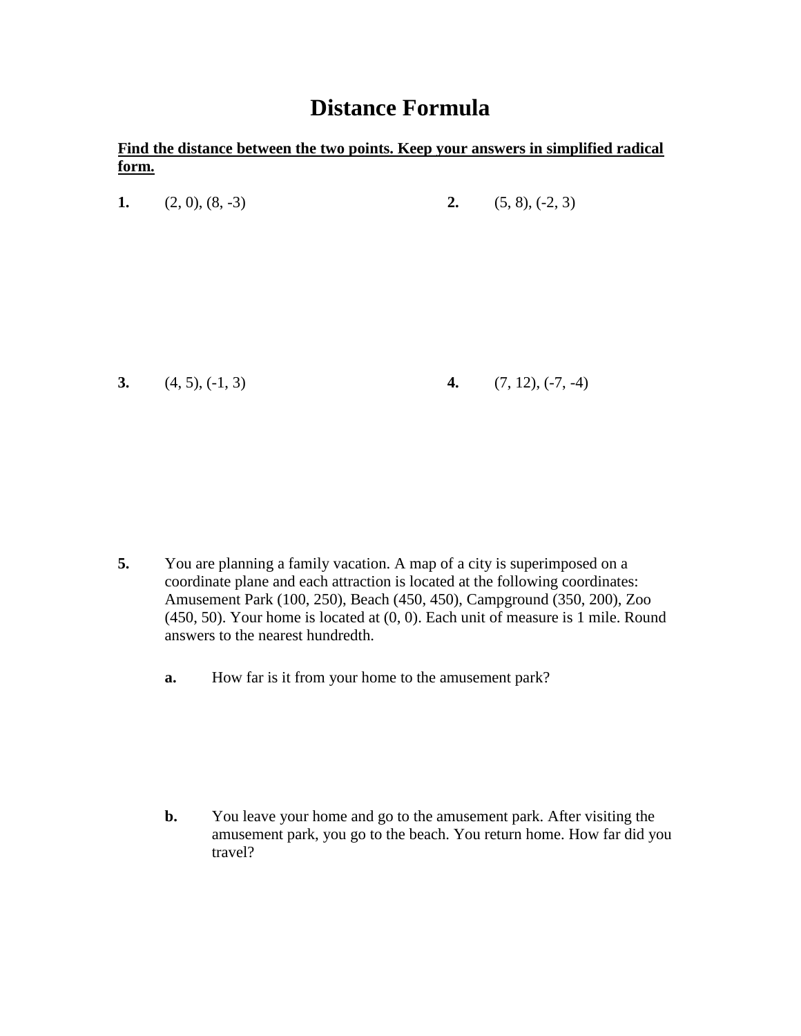### **Distance Formula**

#### **Find the distance between the two points. Keep your answers in simplified radical form.**

|    | 1. $(2, 0), (8, -3)$ |    | 2. $(5, 8), (-2, 3)$ |
|----|----------------------|----|----------------------|
|    |                      |    |                      |
|    |                      |    |                      |
|    |                      |    |                      |
|    |                      |    |                      |
|    |                      |    |                      |
| 3. | $(4, 5), (-1, 3)$    | 4. | $(7, 12), (-7, -4)$  |
|    |                      |    |                      |

- **5.** You are planning a family vacation. A map of a city is superimposed on a coordinate plane and each attraction is located at the following coordinates: Amusement Park (100, 250), Beach (450, 450), Campground (350, 200), Zoo  $(450, 50)$ . Your home is located at  $(0, 0)$ . Each unit of measure is 1 mile. Round answers to the nearest hundredth.
	- **a.** How far is it from your home to the amusement park?

**b.** You leave your home and go to the amusement park. After visiting the amusement park, you go to the beach. You return home. How far did you travel?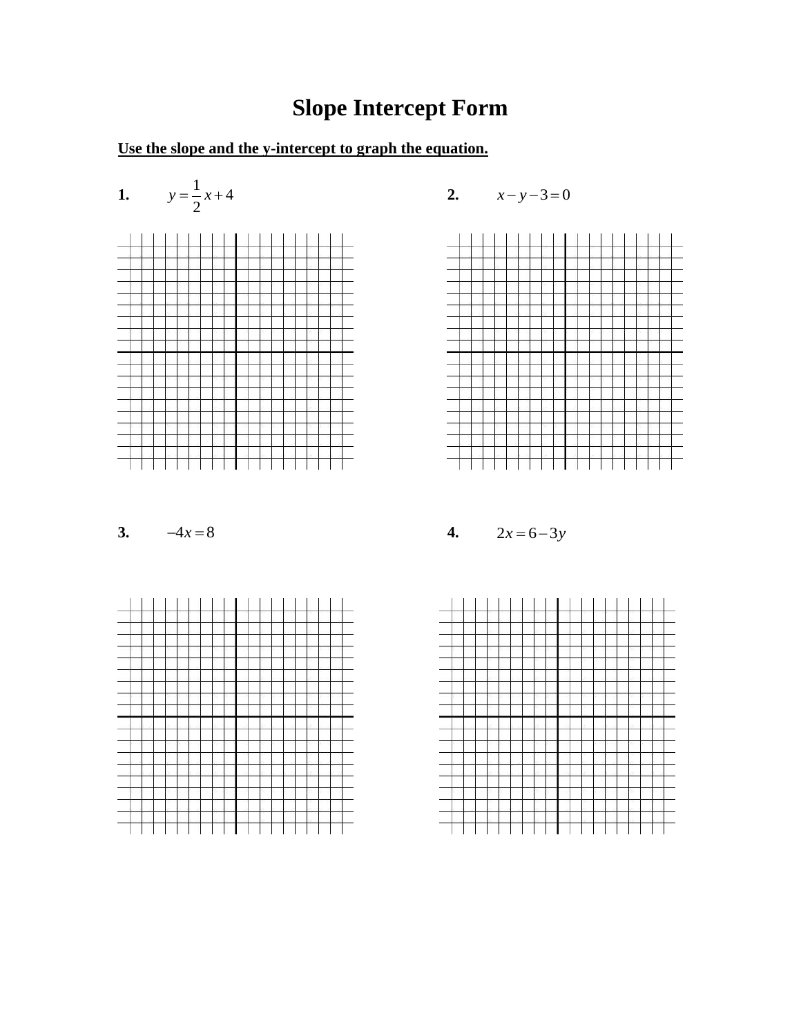## **Slope Intercept Form**

### **Use the slope and the y-intercept to graph the equation.**







#### **3.**  $-4x = 8$



**4.**  $2x = 6 - 3y$ 

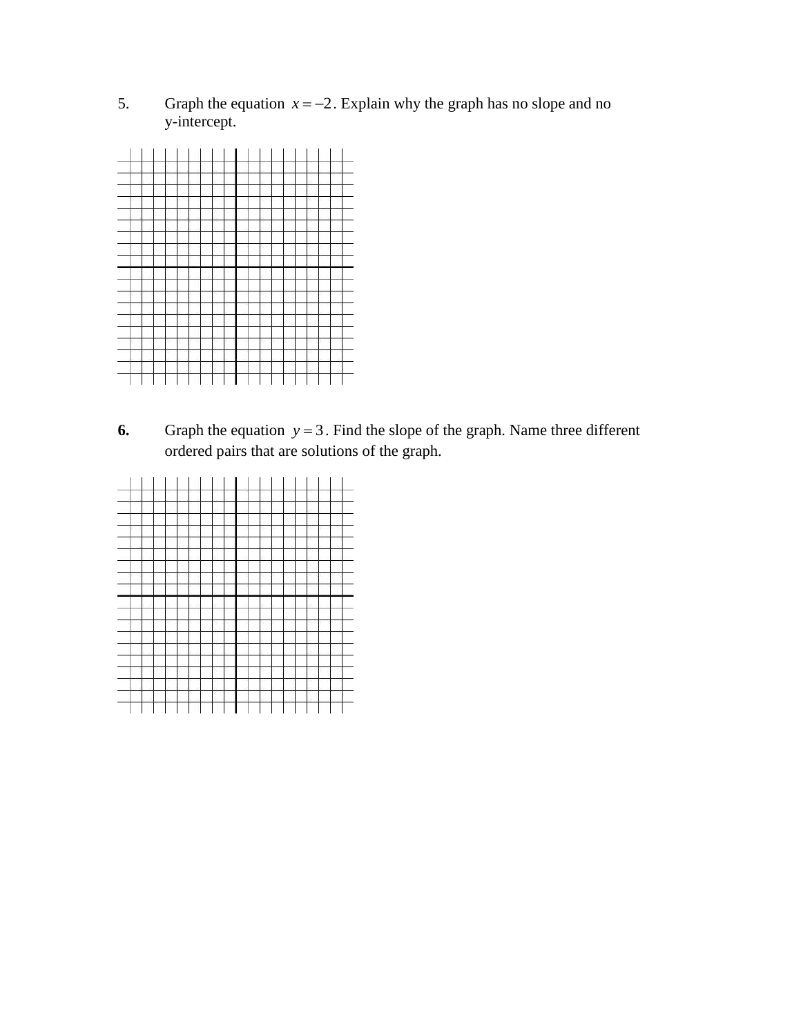5. Graph the equation  $x = -2$ . Explain why the graph has no slope and no y-intercept.



**6.** Graph the equation  $y = 3$ . Find the slope of the graph. Name three different ordered pairs that are solutions of the graph.

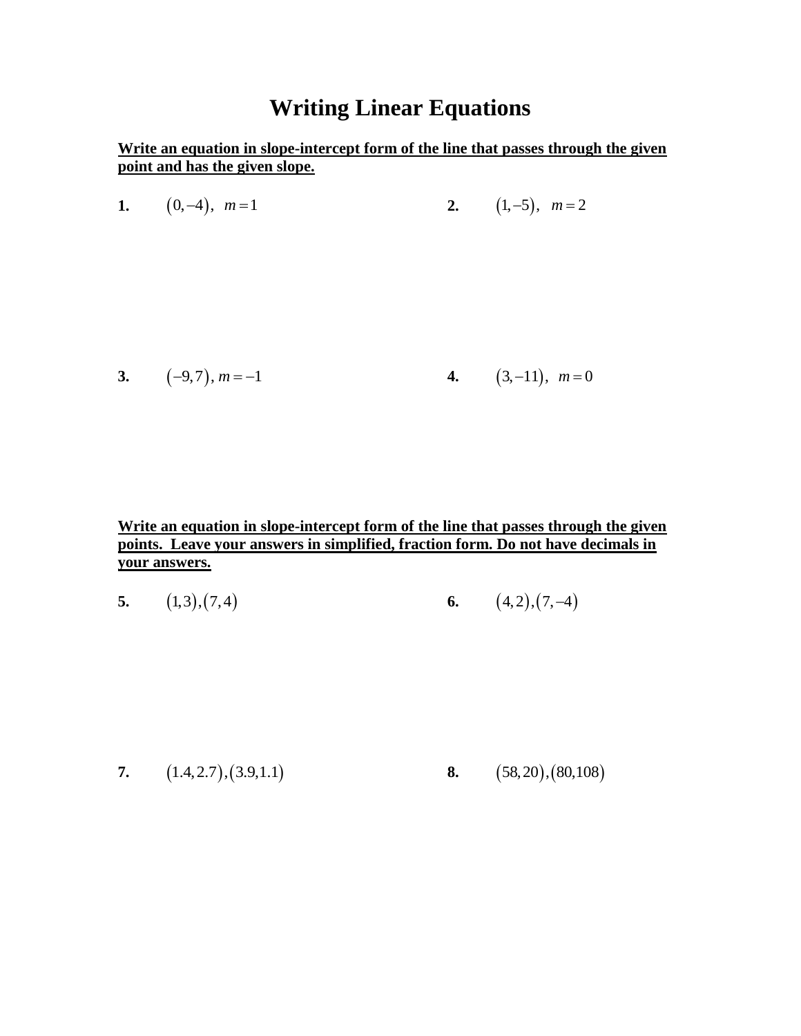### **Writing Linear Equations**

**Write an equation in slope-intercept form of the line that passes through the given point and has the given slope.**

| 1. $(0,-4)$ , $m=1$ | 2. $(1,-5)$ , $m=2$ |
|---------------------|---------------------|
|---------------------|---------------------|

3. 
$$
(-9,7), m = -1
$$
 4.  $(3,-11), m = 0$ 

**Write an equation in slope-intercept form of the line that passes through the given points. Leave your answers in simplified, fraction form. Do not have decimals in your answers.** 

**5.**  $(1,3)$ ,  $(7,4)$ **6.**  $(4,2), (7,-4)$ 

**7.**  $(1.4, 2.7), (3.9, 1.1)$ **8.** (58,20), (80,108)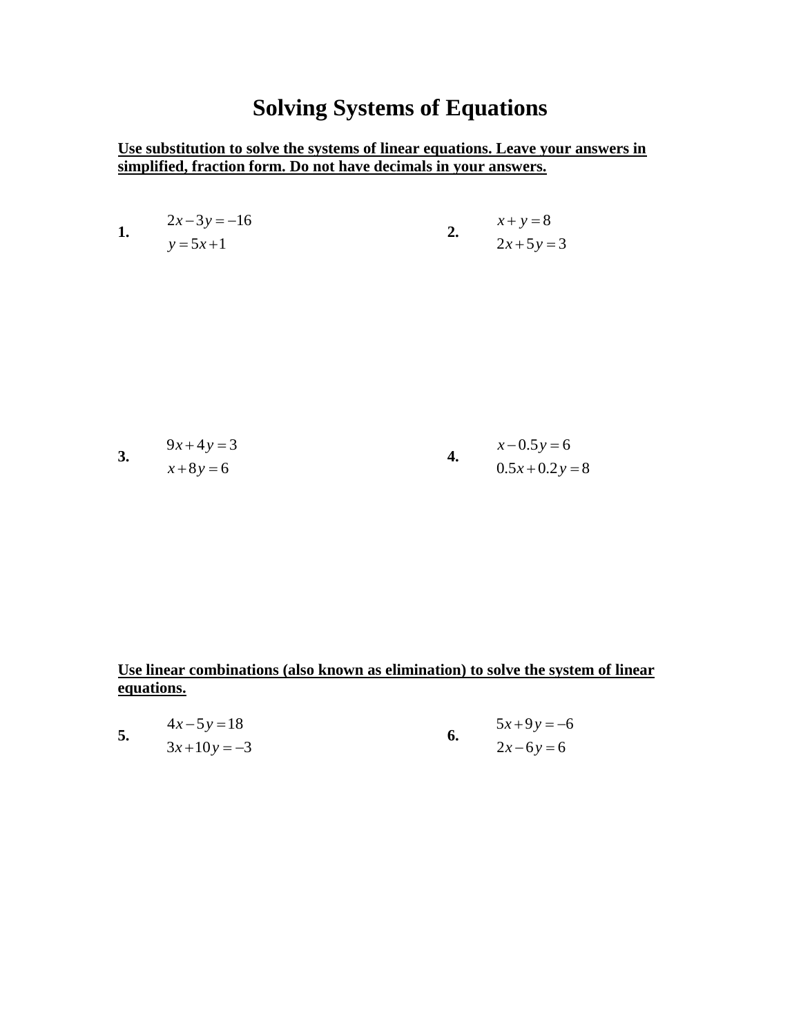## **Solving Systems of Equations**

#### **Use substitution to solve the systems of linear equations. Leave your answers in simplified, fraction form. Do not have decimals in your answers.**

| 1. | $2x-3y = -16$<br>$y = 5x + 1$ | 2. | $x + y = 8$<br>$2x+5y=3$ |
|----|-------------------------------|----|--------------------------|
|    |                               |    |                          |
|    |                               |    |                          |
| 3. | $9x+4y=3$                     | 4. | $x - 0.5y = 6$           |
|    | $x+8y=6$                      |    | $0.5x+0.2y=8$            |

#### **Use linear combinations (also known as elimination) to solve the system of linear equations.**

|    | $4x-5y=18$  | $5x+9y = -6$ |
|----|-------------|--------------|
| J, | $3x+10y=-3$ | $2x-6y=6$    |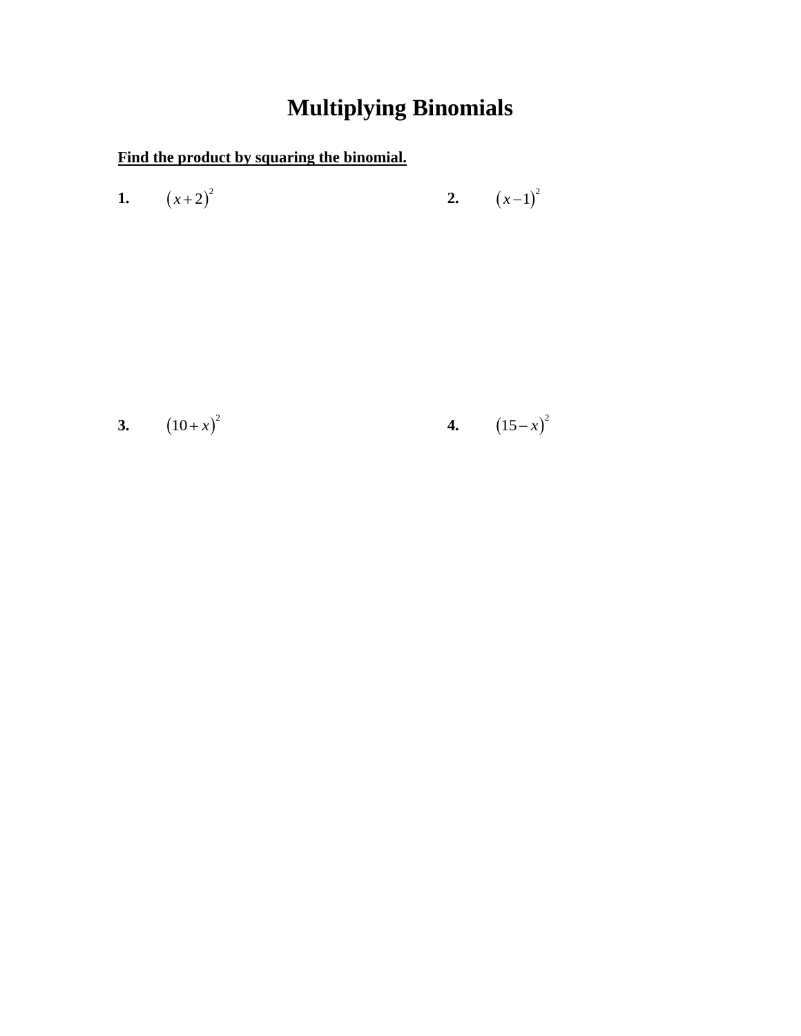## **Multiplying Binomials**

### **Find the product by squaring the binomial.**

1. 
$$
(x+2)^2
$$
 2.  $(x-1)^2$ 

3. 
$$
(10+x)^2
$$
 4.  $(15-x)^2$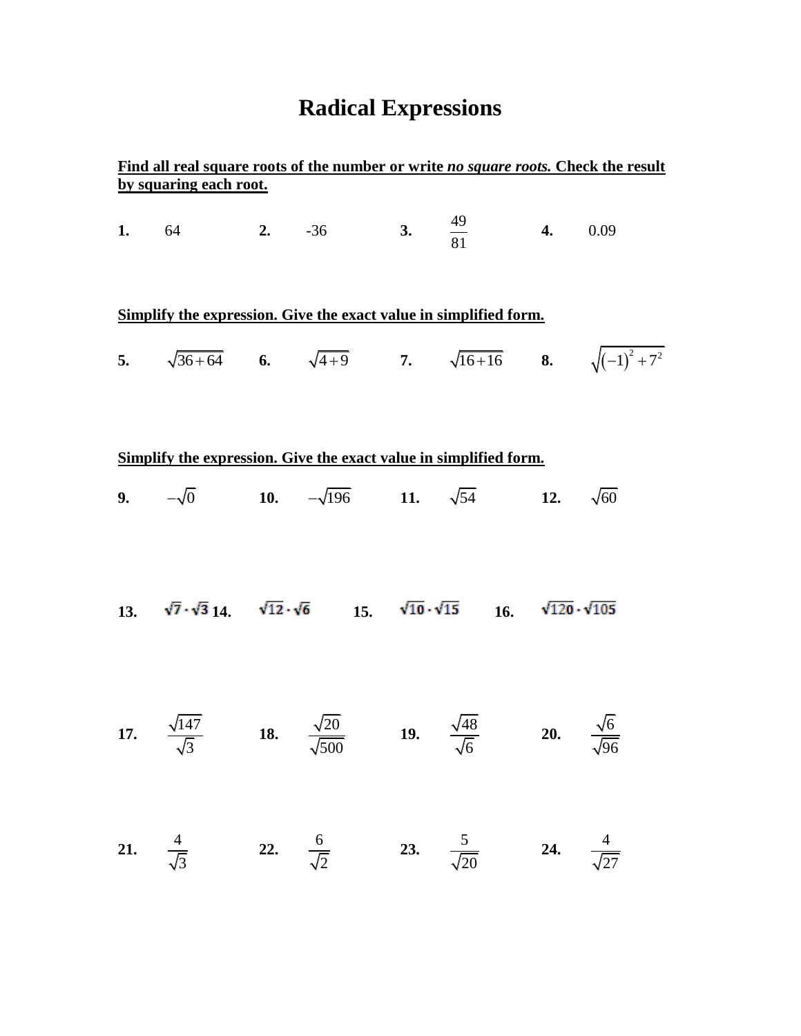# **Radical Expressions**

| Find all real square roots of the number or write no square roots. Check the result<br>by squaring each root. |                                                                                                                                |  |                          |  |                                                                                 |                                  |  |
|---------------------------------------------------------------------------------------------------------------|--------------------------------------------------------------------------------------------------------------------------------|--|--------------------------|--|---------------------------------------------------------------------------------|----------------------------------|--|
|                                                                                                               | <b>1.</b> 64 <b>2.</b> -36 <b>3.</b> $\frac{49}{81}$ <b>4.</b> 0.09                                                            |  |                          |  |                                                                                 |                                  |  |
|                                                                                                               | Simplify the expression. Give the exact value in simplified form.                                                              |  |                          |  |                                                                                 |                                  |  |
|                                                                                                               | 5. $\sqrt{36+64}$ 6. $\sqrt{4+9}$ 7. $\sqrt{16+16}$ 8. $\sqrt{(-1)^2+7^2}$                                                     |  |                          |  |                                                                                 |                                  |  |
|                                                                                                               |                                                                                                                                |  |                          |  |                                                                                 |                                  |  |
|                                                                                                               | Simplify the expression. Give the exact value in simplified form.                                                              |  |                          |  |                                                                                 |                                  |  |
|                                                                                                               | <b>9.</b> $-\sqrt{0}$ <b>10.</b> $-\sqrt{196}$ <b>11.</b> $\sqrt{54}$ <b>12.</b> $\sqrt{60}$                                   |  |                          |  |                                                                                 |                                  |  |
|                                                                                                               | 13. $\sqrt{7} \cdot \sqrt{3}$ 14. $\sqrt{12} \cdot \sqrt{6}$ 15. $\sqrt{10} \cdot \sqrt{15}$ 16. $\sqrt{120} \cdot \sqrt{105}$ |  |                          |  |                                                                                 |                                  |  |
|                                                                                                               | 17. $\frac{\sqrt{147}}{\sqrt{3}}$ 18. $\frac{\sqrt{20}}{\sqrt{500}}$                                                           |  |                          |  | <b>19.</b> $\frac{\sqrt{48}}{\sqrt{6}}$ <b>20.</b> $\frac{\sqrt{6}}{\sqrt{96}}$ |                                  |  |
| 21. $\frac{4}{\sqrt{3}}$                                                                                      |                                                                                                                                |  | 22. $\frac{6}{\sqrt{2}}$ |  | 23. $\frac{5}{\sqrt{20}}$                                                       | <b>24.</b> $\frac{4}{\sqrt{27}}$ |  |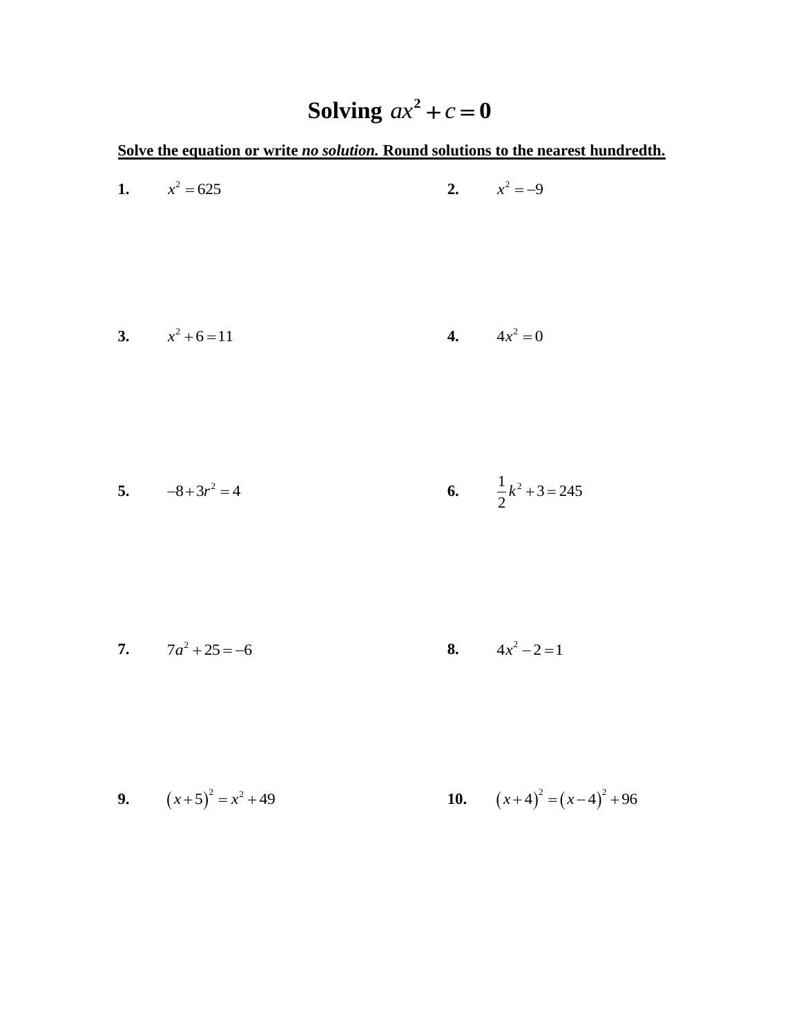## **Solving**  $ax^2 + c = 0$

**Solve the equation or write** *no solution.* **Round solutions to the nearest hundredth.**

| 1. $x^2 = 625$      | 2. $x^2 = -9$                 |
|---------------------|-------------------------------|
| 3. $x^2 + 6 = 11$   | 4. $4x^2 = 0$                 |
| 5. $-8+3r^2 = 4$    | 6. $\frac{1}{2}k^2 + 3 = 245$ |
| 7. $7a^2 + 25 = -6$ | 8. $4x^2-2=1$                 |

**9.** 
$$
(x+5)^2 = x^2 + 49
$$
   
**10.**  $(x+4)^2 = (x-4)^2 + 96$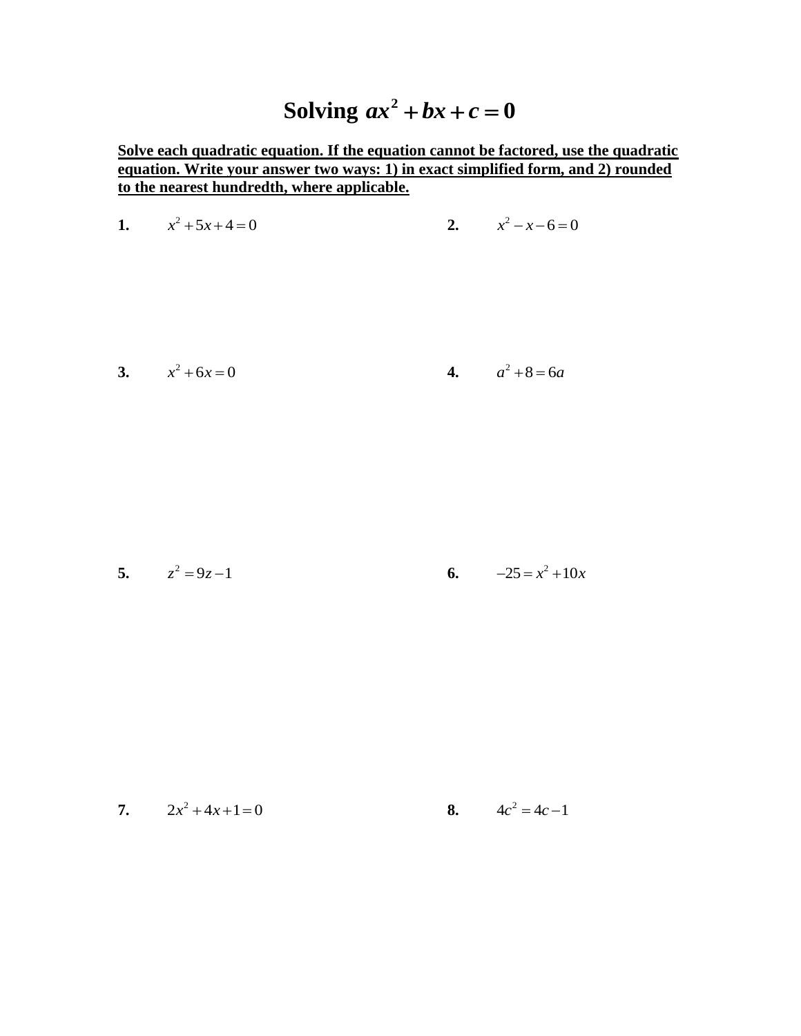#### Solving  $ax^2$  $ax^2 + bx + c = 0$

**Solve each quadratic equation. If the equation cannot be factored, use the quadratic equation. Write your answer two ways: 1) in exact simplified form, and 2) rounded to the nearest hundredth, where applicable.**

1. 
$$
x^2 + 5x + 4 = 0
$$
  
2.  $x^2 - x - 6 = 0$ 

3. 
$$
x^2 + 6x = 0
$$
 4.  $a^2 + 8 = 6a$ 

5. 
$$
z^2 = 9z - 1
$$
  
6.  $-25 = x^2 + 10x$ 

7. 
$$
2x^2 + 4x + 1 = 0
$$
  
8.  $4c^2 = 4c - 1$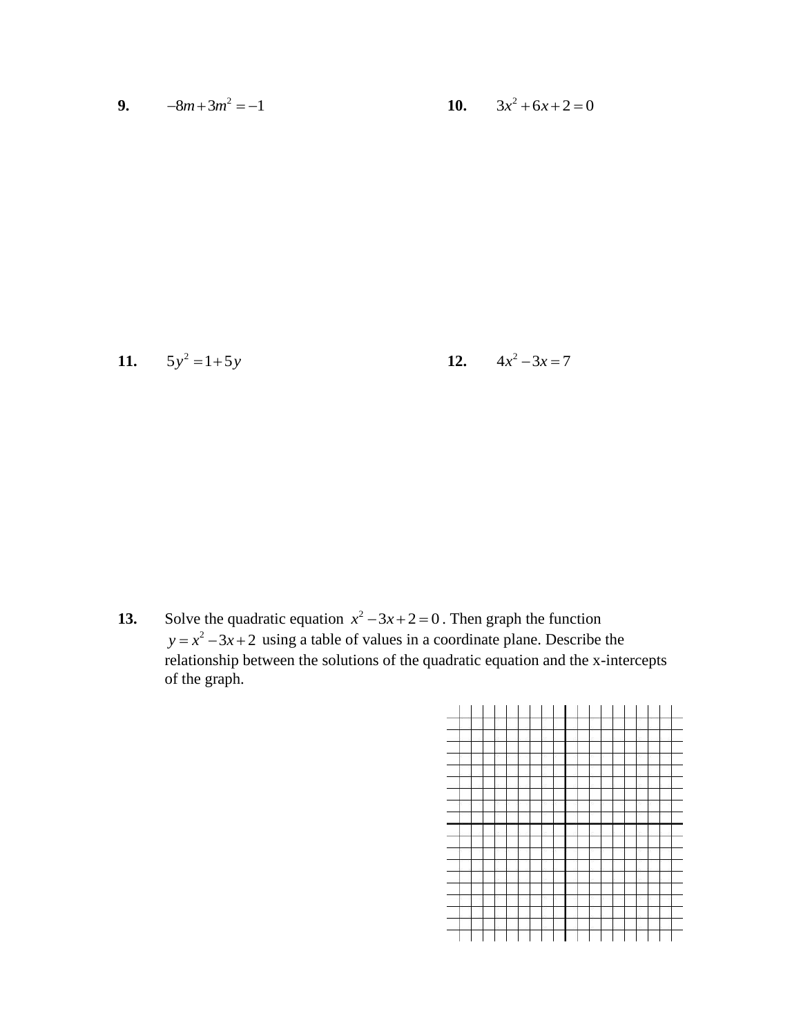9. 
$$
-8m+3m^2=-1
$$
 10.  $3x^2+6x+2=0$ 

**11.** 
$$
5y^2 = 1+5y
$$
   
**12.**  $4x^2 - 3x = 7$ 

**13.** Solve the quadratic equation  $x^2 - 3x + 2 = 0$ . Then graph the function  $y = x^2 - 3x + 2$  using a table of values in a coordinate plane. Describe the relationship between the solutions of the quadratic equation and the x-intercepts of the graph.

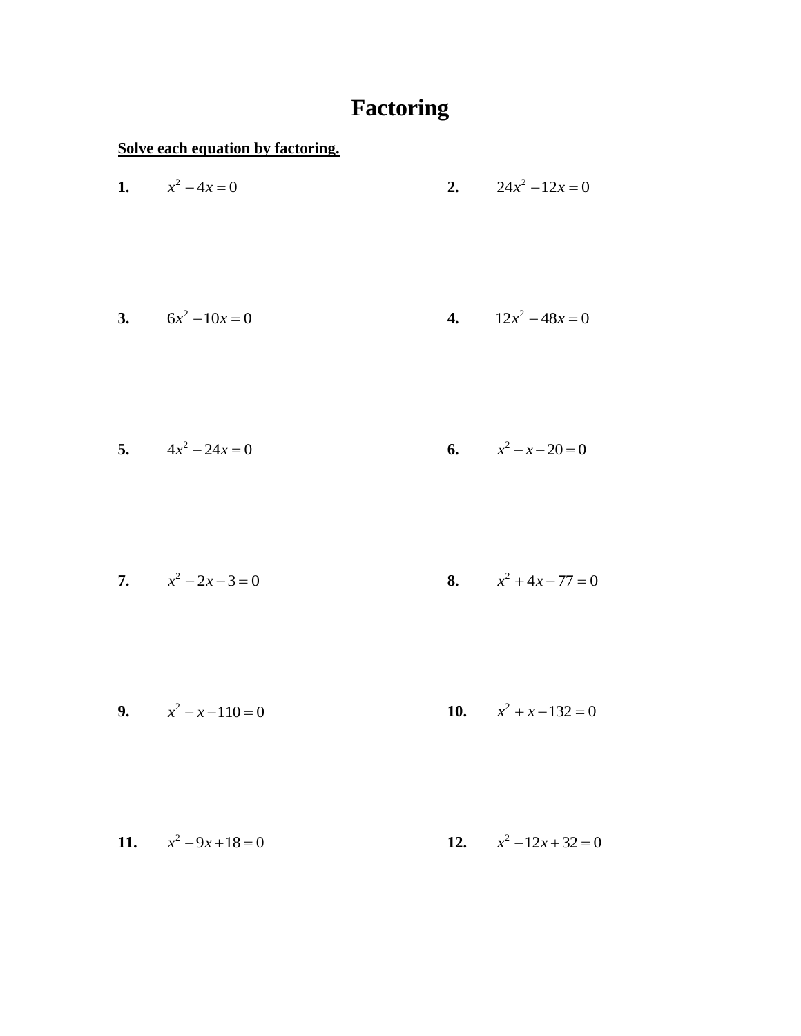## **Factoring**

**Solve each equation by factoring.**

| 1. $x^2 - 4x = 0$      | 2. $24x^2-12x=0$        |
|------------------------|-------------------------|
| 3. $6x^2-10x=0$        | 4. $12x^2 - 48x = 0$    |
| 5. $4x^2 - 24x = 0$    | 6. $x^2 - x - 20 = 0$   |
| 7. $x^2-2x-3=0$        | 8. $x^2 + 4x - 77 = 0$  |
| 9. $x^2 - x - 110 = 0$ | 10. $x^2 + x - 132 = 0$ |

**11.**  $x^2 - 9x + 18 = 0$ **12.**  $x^2 - 12x + 32 = 0$